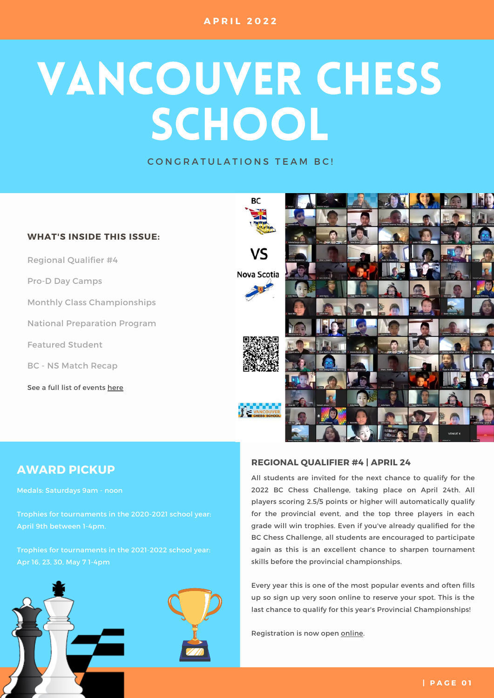# VANCOUVER CHESS SCHOOL

CONGRATULATIONS TEAM BC!



## **AWARD PICKUP**

Medals: Saturdays 9am - noon

Trophies for tournaments in the 2020-2021 school year: April 9th between 1-4pm.

Trophies for tournaments in the 2021-2022 school year: Apr 16, 23, 30, May 7 1-4pm



### **REGIONAL QUALIFIER #4 | APRIL 24**

All students are invited for the next chance to qualify for the 2022 BC Chess Challenge, taking place on April 24th. All players scoring 2.5/5 points or higher will automatically qualify for the provincial event, and the top three players in each grade will win trophies. Even if you've already qualified for the BC Chess Challenge, all students are encouraged to participate again as this is an excellent chance to sharpen tournament skills before the provincial championships.

Every year this is one of the most popular events and often fills up so sign up very soon online to reserve your spot. This is the last chance to qualify for this year's Provincial Championships!

Registration is now [open](https://www.vanchess.ca/events?events[0]=9) [online](https://www.vanchess.ca/tournaments/view/id/6542).